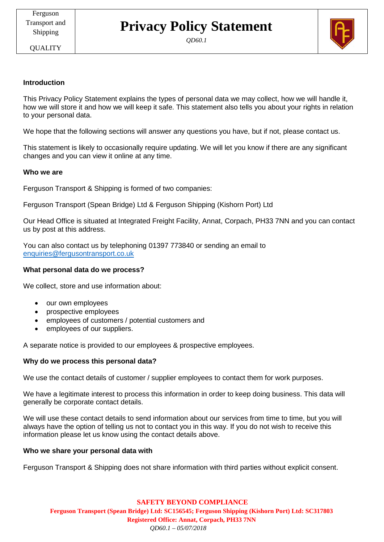# **Privacy Policy Statement**

*QD60.1*

**OUALITY** 

# **Introduction**

This Privacy Policy Statement explains the types of personal data we may collect, how we will handle it, how we will store it and how we will keep it safe. This statement also tells you about your rights in relation to your personal data.

We hope that the following sections will answer any questions you have, but if not, please contact us.

This statement is likely to occasionally require updating. We will let you know if there are any significant changes and you can view it online at any time.

#### **Who we are**

Ferguson Transport & Shipping is formed of two companies:

Ferguson Transport (Spean Bridge) Ltd & Ferguson Shipping (Kishorn Port) Ltd

Our Head Office is situated at Integrated Freight Facility, Annat, Corpach, PH33 7NN and you can contact us by post at this address.

You can also contact us by telephoning 01397 773840 or sending an email to [enquiries@fergusontransport.co.uk](mailto:enquiries@fergusontransport.co.uk)

#### **What personal data do we process?**

We collect, store and use information about:

- our own employees
- prospective employees
- employees of customers / potential customers and
- employees of our suppliers.

A separate notice is provided to our employees & prospective employees.

# **Why do we process this personal data?**

We use the contact details of customer / supplier employees to contact them for work purposes.

We have a legitimate interest to process this information in order to keep doing business. This data will generally be corporate contact details.

We will use these contact details to send information about our services from time to time, but you will always have the option of telling us not to contact you in this way. If you do not wish to receive this information please let us know using the contact details above.

#### **Who we share your personal data with**

Ferguson Transport & Shipping does not share information with third parties without explicit consent.

**SAFETY BEYOND COMPLIANCE Ferguson Transport (Spean Bridge) Ltd: SC156545; Ferguson Shipping (Kishorn Port) Ltd: SC317803 Registered Office: Annat, Corpach, PH33 7NN**  *QD60.1 – 05/07/2018*